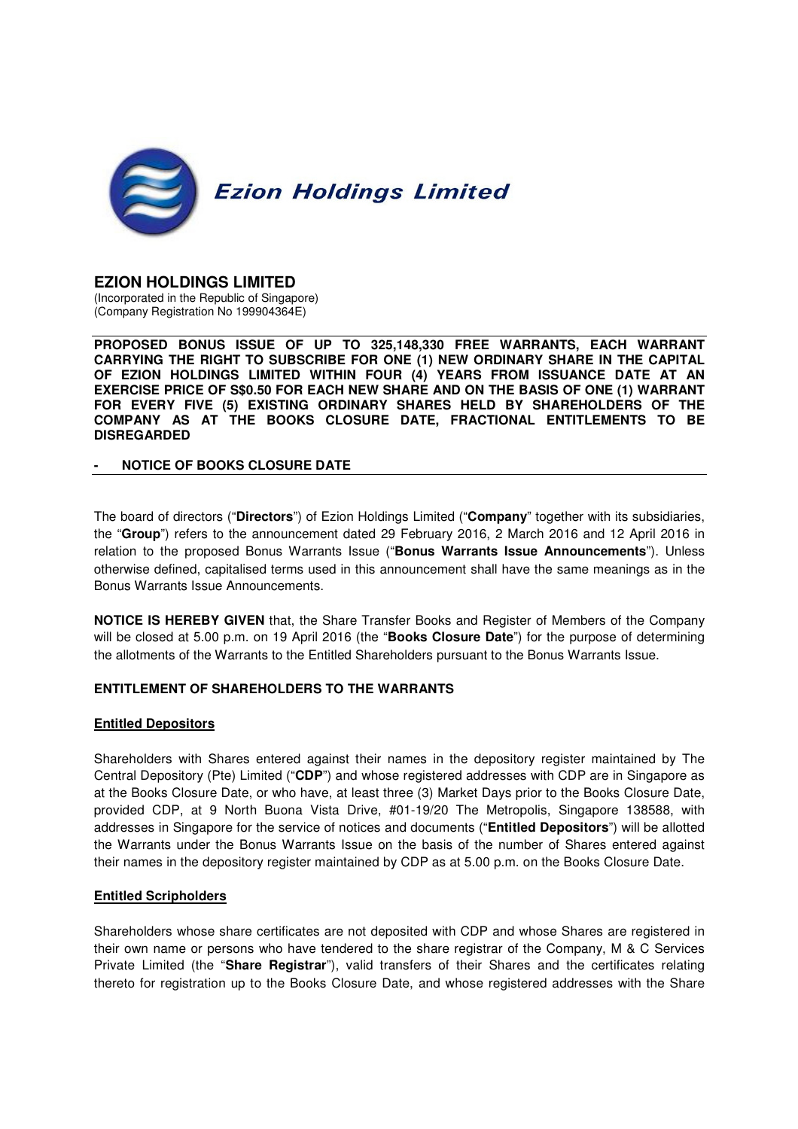

# **EZION HOLDINGS LIMITED**

(Incorporated in the Republic of Singapore) (Company Registration No 199904364E)

**PROPOSED BONUS ISSUE OF UP TO 325,148,330 FREE WARRANTS, EACH WARRANT CARRYING THE RIGHT TO SUBSCRIBE FOR ONE (1) NEW ORDINARY SHARE IN THE CAPITAL OF EZION HOLDINGS LIMITED WITHIN FOUR (4) YEARS FROM ISSUANCE DATE AT AN EXERCISE PRICE OF S\$0.50 FOR EACH NEW SHARE AND ON THE BASIS OF ONE (1) WARRANT FOR EVERY FIVE (5) EXISTING ORDINARY SHARES HELD BY SHAREHOLDERS OF THE COMPANY AS AT THE BOOKS CLOSURE DATE, FRACTIONAL ENTITLEMENTS TO BE DISREGARDED** 

#### **- NOTICE OF BOOKS CLOSURE DATE**

The board of directors ("**Directors**") of Ezion Holdings Limited ("**Company**" together with its subsidiaries, the "**Group**") refers to the announcement dated 29 February 2016, 2 March 2016 and 12 April 2016 in relation to the proposed Bonus Warrants Issue ("**Bonus Warrants Issue Announcements**"). Unless otherwise defined, capitalised terms used in this announcement shall have the same meanings as in the Bonus Warrants Issue Announcements.

**NOTICE IS HEREBY GIVEN** that, the Share Transfer Books and Register of Members of the Company will be closed at 5.00 p.m. on 19 April 2016 (the "**Books Closure Date**") for the purpose of determining the allotments of the Warrants to the Entitled Shareholders pursuant to the Bonus Warrants Issue.

### **ENTITLEMENT OF SHAREHOLDERS TO THE WARRANTS**

### **Entitled Depositors**

Shareholders with Shares entered against their names in the depository register maintained by The Central Depository (Pte) Limited ("**CDP**") and whose registered addresses with CDP are in Singapore as at the Books Closure Date, or who have, at least three (3) Market Days prior to the Books Closure Date, provided CDP, at 9 North Buona Vista Drive, #01-19/20 The Metropolis, Singapore 138588, with addresses in Singapore for the service of notices and documents ("**Entitled Depositors**") will be allotted the Warrants under the Bonus Warrants Issue on the basis of the number of Shares entered against their names in the depository register maintained by CDP as at 5.00 p.m. on the Books Closure Date.

### **Entitled Scripholders**

Shareholders whose share certificates are not deposited with CDP and whose Shares are registered in their own name or persons who have tendered to the share registrar of the Company, M & C Services Private Limited (the "**Share Registrar**"), valid transfers of their Shares and the certificates relating thereto for registration up to the Books Closure Date, and whose registered addresses with the Share